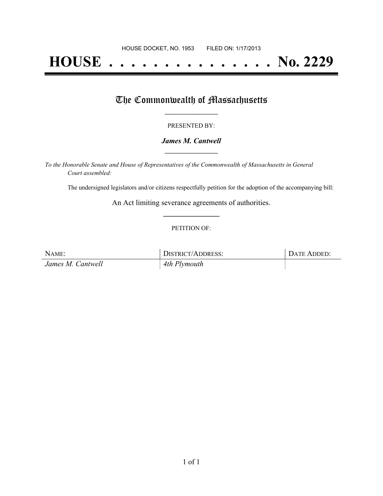# **HOUSE . . . . . . . . . . . . . . . No. 2229**

## The Commonwealth of Massachusetts

#### PRESENTED BY:

#### *James M. Cantwell* **\_\_\_\_\_\_\_\_\_\_\_\_\_\_\_\_\_**

*To the Honorable Senate and House of Representatives of the Commonwealth of Massachusetts in General Court assembled:*

The undersigned legislators and/or citizens respectfully petition for the adoption of the accompanying bill:

An Act limiting severance agreements of authorities. **\_\_\_\_\_\_\_\_\_\_\_\_\_\_\_**

#### PETITION OF:

| NAME:             | DISTRICT/ADDRESS: | DATE ADDED: |
|-------------------|-------------------|-------------|
| James M. Cantwell | 4th Plymouth      |             |